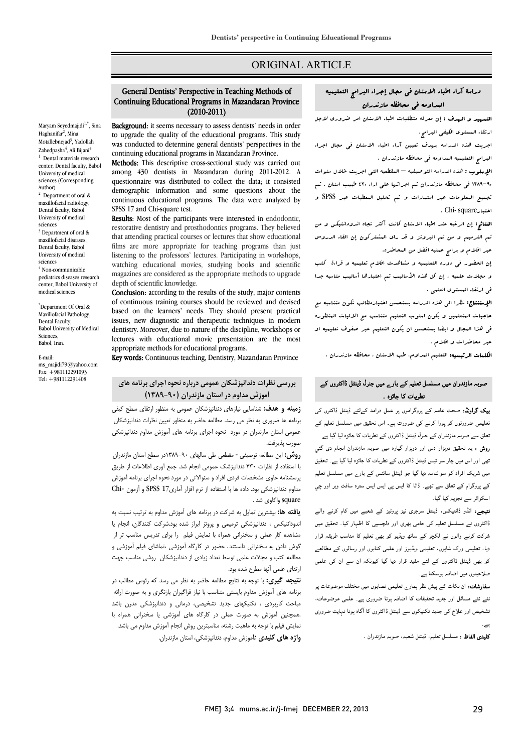## ORIGINAL ARTICLE

#### l<br>r Continuing Educational Programs in Mazandaran Province General Dentists' Perspective in Teaching Methods of (2010-2011)

Ī 

Maryam Seyedmajidi<sup>1,\*</sup>, Sina Haghanifar<sup>2</sup>, Mina Motallebnejad<sup>3</sup>, Yadollah Zahedpasha<sup>4</sup>, Ali Bijani<sup>4</sup> <sup>1</sup> Dental materials research center, Dental faculty, Babol University of medical sciences (Corresponding Author) 2 Department of oral & maxillofacial radiology, Dental faculty, Babol University of medical sciences<br> $3$  Department of oral & maxillofacial diseases, Dental faculty, Babol University of medical sciences <sup>4</sup> Non-communicable pediatrics diseases research center, Babol University of medical sciences

\* Department Of Oral & Maxillofacial Pathology, Dental Faculty, Babol University of Medical Sciences, Babol, Iran.

E-mail: ms\_majidi79@yahoo.com  $\overline{\text{Fax}}$ : +981112291093 Tel: +981112291408

Background: it seems necessary to assess dentists' needs in order to upgrade the quality of the educational programs. This study was conducted to determine general dentists' perspective:<br>continuing educational programs in Mazandaran Province. was conducted to determine general dentists' perspectives in the

Methods: This descriptive cross-sectional study was carried out among 430 dentists in Mazandaran during 2011-2012. A demographic information and some questions about the continuous educational programs. The data were analyzed by questionnaire was distributed to collect the data; it consisted SPSS 17 and Chi-square test.

sr35 1/ and c.ni-square test.<br>**Results**: Most of the participants were interested in endodontic, restorative dentistry and prosthodontics programs. They believed that attending practical courses or lectures that show educational listening to the professors' lectures. Participating in workshops, watching educational movies, studying books and scientific magazines are considered as the appropriate methods to upgrade films are more appropriate for teaching programs than just depth of scientific knowledge.

Conclusion: according to the results of the study, major contents of continuous training courses should be reviewed and devised based on the reality freeds. They should present practical dentistry. Moreover, due to nature of the discipline, workshops or appropriate methods for educational programs. based on the learners' needs. They should present practical lectures with educational movie presentation are the most

Key words: Continuous teaching, Dentistry, Mazandaran Province

## **بررسی نظرات دندانپزشکان عمومی درباره نحوه اجراي برنامه هاي آموزش مداوم در استان مازندران (-90 1389)**

 **زمینه و هدف:** شناسایی نیازهاي دندانپزشکان عمومی به منظور ارتقاي سطح کیفی برنامه ها ضروري به نظر می رسد. مطالعه حاضر به منظور تعیین نظرات دندانپزشکان عمومی استان مازندران در مورد نحوه اجراي برنامه هاي آموزش مداوم دندانپزشکی صورت پذیرفت.

**روس،** این مصافحه توصیفی مستفعی طی سانهای ۲۰۰–۱۱۸۲در سطح استان مارندران<br>با استفاده از نظرات ۴۳۰ دندانپزشک عمومی انجام شد. جمع آوری اطلاعات از طریق پرسشنامه حاوي مشخصات فردي افراد و سئوالاتی در مورد نحوه اجراي برنامه آموزش مداوم دندانپزشکی بود. داده ها با استفاده از نرم افزار آماري17 SPSS و آزمون *-*Chi **روش:** این مطالعه توصیفی *-* مقطعی طی سالهاي 1389-90در سطح استان مازندران square واکاوي شد .

 **یافته ها:** بیشترین تمایل به شرکت در برنامه هاي آموزش مداوم به ترتیب نسبت به اندودانتیکس ، دندانپزشکی ترمیمی و پروتز ابراز شده بود.شرکت کنندگان، انجام یا مشاهده کار عملی و سخنرانی همراه با نمایش فیلم ِ را برای تدریس مناسب تر از<br>. گوش دادن به سخنرانی دانستند*.* حضور در کارگاه آموزشی ،تماشاي فیلم آموزشی و ارتقاي علمی آنها مطرح شده بود. مطالعه کتب و مجلات علمی توسط تعداد زیادي از دندانپزشکان روشی مناسب جهت

 **نتیجه گیري:** با توجه به نتایج مطالعه حاضر به نظر می رسد که رئوس مطالب در برنامه هاي آموزش مداوم بایستی متناسب با نیاز فراگیران بازنگري و به صورت ارائه مباحث کاربردي ، تکنیکهاي جدید تشخیصی، درمانی و دندانپزشکی مدرن باشد .همچنین آموزش به صورت عملی در کارگاه هاي آموزشی یا سخنرانی همراه با نمایش فیلم با توجه به ماهیت رشته، مناسبترین روش انجام آموزش مداوم می باشد. **واژه هاي کلیدي** *:*آموزش مداوم، دندانپزشکی، استان مازندران.

# دراسۀ آراء اطباء الاسنان فی مجال إجراء البرامج التعلیمیه المداومه فی محافظه مازندران

Ī ֦

ا**لتسهید و الهدف :** إن معرفه متطلبات اطباء الاسنان امر ضروری لاجل<br>. ارتقاء المستوي الکیفی البرامج.

 اجریت هذه الدراسه بهدف تعیین آراء اطباء الاسنان فی مجال اجراء البرامج التعلیمیه المداومه فی محافظه مازندران .

 الإسلوب : هذه الدراسه التوصیفیه – المقطعیه التی اجریت خلال سنوات 1389-90 فی محافظه مازندران تم اجرائها علی اراء 430 طبیب اسنان . تم تجمیع المعلومات عبر استمارات و تم تحلیل المعطیات عبر SPSS و . Chi- squareاختبار

 النتائج: إن الرغبه عند اطباء الاسنان کانت أکثر تجاه اندودانتیکس و من ثم الترمیم و من ثم البروتز و قد راي المشترکون إن القاء الدروس عبر افلام و برامج عملیه افضل من المحاضره.

 إن الحضور فی دوره التعلیمیه و مشاهدت افلام تعلیمیه و قراءة کتب و مجلات علمیه . إن کل هذه الأسالیب تم اعتبارها أسالیب مناسبه جدا فی ارتقاء المستوي العلمی .

 الإستنتاج: نظرا الی هذه الدراسه یستحسن اختیارمطالب تکون متناسبه مع حاجیات المتعلمین و یکون اسلوب التعلیم متناسب مع الالیات المتطوره فی هذا المجال و ایضا یستحسن ان یکون التعلیم عبر صفوف تعلیمیه او عبر محاضرات و افلام .

الکلمات الرئیسیه: التعلیم المداوم، طب الاسنان . محافظه مازندران .

## صوبہ مازندران میں مسلسل تعلیم کے بارے میں جنرل ڈینٹل ڈاکٹروں کے نطریات کا جائزہ ۔

**یک گراونڈ:** صحت عامہ کے پروگراموں پر عمل درامد کےلئے ڈینٹل ڈاکٹرں کی ۔<br>نعلیمی ضرورتوں کو پورا کرنے کی ضرورت ہے۔ اس تحقیق میں مسلسل تعلیم کے نعلق سے صوبہ مازندران کے جنرل ڈینٹل ڈاکٹروں کے نظریات کا جائزہ لیا گیا ہے۔ ر**وش :** یہ تحقیق دوہزار دس اور دوہزار گیارہ میں صوبہ مازندران انجام دی گئي نھی اور اس میں چار سو تیس ڈینٹل ڈاکٹروں کے نظریات کا جائزہ لیا گیا ہے۔ تحقیق میں شریک افراد کو سوالنامہ دیا گیا جو ڈینٹل سائنس کے بارے میں مسلسل تعلیم کے پروگرام کے تعلق سے تھے۔ ڈاٹا کا ایس پی ایس ایس سترہ سافٹ ویر اور چي اسکوائر سے تجزیہ کیا گیا۔

**تیجے:** انڈو ڈانتیکس، ڈینٹل سرجری نیز پروٹیز کے شعبے میں کام کرنے والے ڈاکٹروں نے مسلسل تعلیم کی حامی بھری اور دلچسپی کا اظہار کیا۔ تحقیق میں شرکت کرنے والوں نے لکچر کے ساتھ ویڈیو کو بھی تعلیم کا مناسب طریقہ قرار دیا، تعلیمی ورک شاپوں، تعلیمی ویڈیوز اور علمی کتابوں اور رسالوں کے مطالعے کو بھی ڈینٹل ڈاکٹروں کے لئے مفید قرار دیا گیا کیونکہ ان سے ان کی علمی<br>۔ صلاحیتوں میں اضافہ ہوسکتا ہے۔

**سفارشات:** ان نکات کے پیش نظر ہمار<sub>ے</sub> تعلیمی نصابوں میں مختلف موضوعات پر<br>۔ ئے نئے مسائل اور جدید تحقیقات کا اضافہ ہونا ضروری ہے۔ علمی موضوعات،<br>۔ نشخیص اور علاج کی جدید تکنیکوں سے ڈینٹل ڈاکٹروں کا آگاہ ہونا نہایت ضروری<br>۔

**تلیدی الفاظ :** مسلسل تعلیم، ڈینٹل شعبہ، صوبہ مازندران ۔<br>۔

۔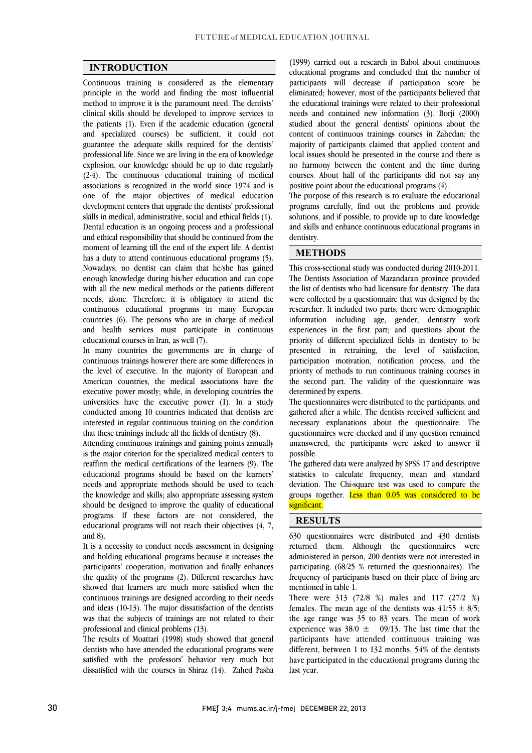$\overline{a}$  $\overline{a}$ 

### **INTRODUCTION**

 Continuous training is considered as the elementary principle in the world and finding the most influential clinical skills should be developed to improve services to the patients (1). Even if the academic education (general and specialized courses) be sufficient, it could not guarantee the adequate skills required for the dentists' explosion, our knowledge should be up to date regularly (2-4). The continuous educational training of medical associations is recognized in the world since 1974 and is one of the major objectives of medical education skills in medical, administrative, social and ethical fields (1). Dental education is an ongoing process and a professional and ethical responsibility that should be continued from the moment of learning till the end of the expert life. A dentist<br>has a duty to strond agatinuous educational groomer (5) Nowadays, no dentist can claim that he/she has gained enough knowledge during his/her education and can cope with all the new medical methods or the patients different continuous educational programs in many European countries (6). The persons who are in charge of medical and health services must participate in continuous method to improve it is the paramount need. The dentists' professional life. Since we are living in the era of knowledge development centers that upgrade the dentists' professional has a duty to attend continuous educational programs (5). needs, alone. Therefore, it is obligatory to attend the educational courses in Iran, as well (7).

 continuous trainings however there are some differences in the level of executive. In the majority of European and American countries, the medical associations have the executive power mostly; while, in developing countries the  $t_1$ . In a state conducted among 10 countries indicated that dentists are interested in regular continuous training on the condition In many countries the governments are in charge of universities have the executive power (1). In a study that these trainings include all the fields of dentistry (8).

Attending continuous trainings and gaining points annually reaffirm the medical certifications of the learners (9). The educational programs should be based on the learners' needs and appropriate methods should be used to teach Inc knowledge and skins; also appropriate assessing system<br>should be designed to improve the quality of educational programs. If these factors are not considered, the educational programs will not reach their objectives (4, 7, is the major criterion for the specialized medical centers to the knowledge and skills; also appropriate assessing system and 8).

 and holding educational programs because it increases the participants' cooperation, motivation and finally enhances the quality of the programs (2). Different researches have showed that learners are much more satisfied when the and ideas (10-13). The major dissatisfaction of the dentists was that the subjects of trainings are not related to their It is a necessity to conduct needs assessment in designing continuous trainings are designed according to their needs professional and clinical problems (13).

 The results of Moattari (1998) study showed that general satisfied with the professors' behavior very much but dissatisfied with the courses in Shiraz (14). Zahed Pasha dentists who have attended the educational programs were

 educational programs and concluded that the number of participants will decrease if participation score be eliminated; however, most of the participants believed that needs and contained new information (3). Borji (2000) studied about the general dentists' opinions about the content of continuous trainings courses in Zahedan; the majority of participants claimed that applied content and no harmony between the content and the time during courses. About half of the participants did not say any (1999) carried out a research in Babol about continuous the educational trainings were related to their professional local issues should be presented in the course and there is positive point about the educational programs (4).

 programs carefully, find out the problems and provide solutions, and if possible, to provide up to date knowledge and skills and enhance continuous educational programs in The purpose of this research is to evaluate the educational dentistry.

#### **METHODS**

 This cross-sectional study was conducted during 2010-2011. The Dentists Association of Mazandaran province provided the list of dentists who had licensure for dentistry. The data researcher. It included two parts, there were demographic information including age, gender, dentistry work experiences in the first part; and questions about the priority of different specialized fields in dentistry to be participation motivation, notification process, and the priority of methods to run continuous training courses in the second part. The validity of the questionnaire was were collected by a questionnaire that was designed by the presented in retraining, the level of satisfaction, determined by experts.

determined by experts.<br>The questionnaires were distributed to the participants, and gathered after a while. The dentists received sufficient and necessary explanations about the questionnaire. The questionnaires were checked and if any question remained unanswered, the participants were asked to answer if possible.

 The gathered data were analyzed by SPSS 17 and descriptive statistics to calculate frequency, mean and standard deviation. The Chi-square test was used to compare the groups together. <mark>Less than 0.05 was considered to be</mark><br>significant  $\overline{a}$ significant.

#### **RESULTS**

 630 questionnaires were distributed and 430 dentists administered in person, 200 dentists were not interested in participating. (68/25 % returned the questionnaires). The frequency of participants based on their place of living are returned them. Although the questionnaires were mentioned in table 1.

 $\overline{a}$ 

mentioned in table 1.<br>There were 313 (72/8 %) males and 117 (27/2 %) females. The mean age of the dentists was  $41/55 \pm 8/5$ ; the age range was  $35$  to 83 years. The mean of work experience was  $38/0 \pm 09/13$ . The last time that the participants have attended continuous training was have participated in the educational programs during the different, between 1 to 132 months. 54% of the dentists last year.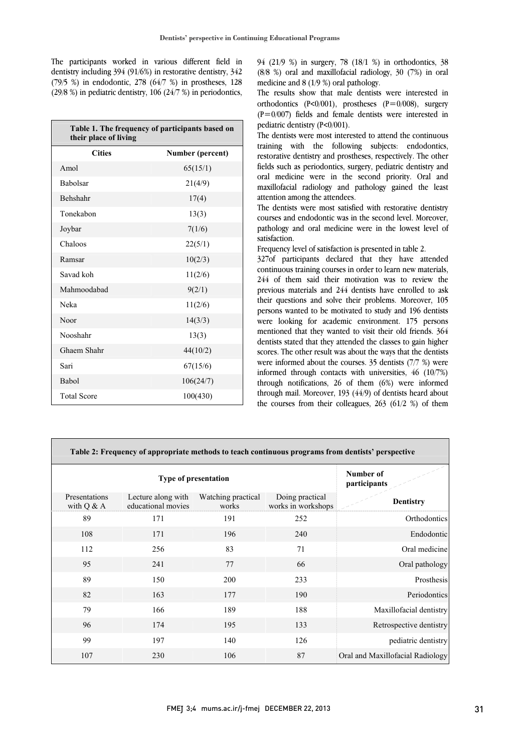The participants worked in various different field in dentistry including 394 (91/6%) in restorative dentistry, 342 (79/5 %) in endodontic, 278 (64/7 %) in prostheses, 128 (29/8 %) in pediatric dentistry,  $106$  (24/7 %) in periodontics,

| Table 1. The frequency of participants based on<br>their place of living |                  |  |  |  |
|--------------------------------------------------------------------------|------------------|--|--|--|
| <b>Cities</b>                                                            | Number (percent) |  |  |  |
| Amol                                                                     | 65(15/1)         |  |  |  |
| <b>Babolsar</b>                                                          | 21(4/9)          |  |  |  |
| <b>Behshahr</b>                                                          | 17(4)            |  |  |  |
| Tonekabon                                                                | 13(3)            |  |  |  |
| Joybar                                                                   | 7(1/6)           |  |  |  |
| Chaloos                                                                  | 22(5/1)          |  |  |  |
| Ramsar                                                                   | 10(2/3)          |  |  |  |
| Savad koh                                                                | 11(2/6)          |  |  |  |
| Mahmoodabad                                                              | 9(2/1)           |  |  |  |
| Neka                                                                     | 11(2/6)          |  |  |  |
| Noor                                                                     | 14(3/3)          |  |  |  |
| Nooshahr                                                                 | 13(3)            |  |  |  |
| Ghaem Shahr                                                              | 44(10/2)         |  |  |  |
| Sari                                                                     | 67(15/6)         |  |  |  |
| Babol                                                                    | 106(24/7)        |  |  |  |
| <b>Total Score</b>                                                       | 100(430)         |  |  |  |

 94 (21/9 %) in surgery, 78 (18/1 %) in orthodontics, 38 (8/8 %) oral and maxillofacial radiology, 30 (7%) in oral medicine and 8 (1/9 %) oral pathology.

 The results show that male dentists were interested in  $(P=0/007)$  fields and female dentists were interested in orthodontics  $(P<0/001)$ , prostheses  $(P=0/008)$ , surgery pediatric dentistry (P˂0/001).

 The dentists were most interested to attend the continuous training with the following subjects: endodontics, fields such as periodontics, surgery, pediatric dentistry and oral medicine were in the second priority. Oral and maxillofacial radiology and pathology gained the least restorative dentistry and prostheses, respectively. The other attention among the attendees.

attention among the attendees.<br>The dentists were most satisfied with restorative dentistry courses and endodontic was in the second level. Moreover, pathology and oral medicine were in the lowest level of satisfaction.

Frequency level of satisfaction is presented in table 2.

 327of participants declared that they have attended continuous training courses in order to learn new materials, 244 of them said their motivation was to review the previous materials and 244 dentists have enrolled to ask persons wanted to be motivated to study and 196 dentists were looking for academic environment. 175 persons mentioned that they wanted to visit their old friends. 364 dentists stated that they attended the classes to gain higher scores. The other result was about the ways that the definists<br>were informed about the courses. 35 dentists (7/7 %) were informed through contacts with universities,  $46$  (10/7%) through notifications, 26 of them (6%) were informed through mail. Moreover, 193 (44/9) of dentists heard about the courses from their colleagues, 263 (61/2 %) of them their questions and solve their problems. Moreover, 105 scores. The other result was about the ways that the dentists

| Table 2: Frequency of appropriate methods to teach continuous programs from dentists' perspective |                                          |                             |                                       |                                  |  |
|---------------------------------------------------------------------------------------------------|------------------------------------------|-----------------------------|---------------------------------------|----------------------------------|--|
| <b>Type of presentation</b>                                                                       |                                          |                             | Number of<br>participants             |                                  |  |
| Presentations<br>with $Q & A$                                                                     | Lecture along with<br>educational movies | Watching practical<br>works | Doing practical<br>works in workshops | <b>Dentistry</b>                 |  |
| 89                                                                                                | 171                                      | 191                         | 252                                   | Orthodontics                     |  |
| 108                                                                                               | 171                                      | 196                         | 240                                   | Endodontic                       |  |
| 112                                                                                               | 256                                      | 83                          | 71                                    | Oral medicine                    |  |
| 95                                                                                                | 241                                      | 77                          | 66                                    | Oral pathology                   |  |
| 89                                                                                                | 150                                      | 200                         | 233                                   | Prosthesis                       |  |
| 82                                                                                                | 163                                      | 177                         | 190                                   | Periodontics                     |  |
| 79                                                                                                | 166                                      | 189                         | 188                                   | Maxillofacial dentistry          |  |
| 96                                                                                                | 174                                      | 195                         | 133                                   | Retrospective dentistry          |  |
| 99                                                                                                | 197                                      | 140                         | 126                                   | pediatric dentistry              |  |
| 107                                                                                               | 230                                      | 106                         | 87                                    | Oral and Maxillofacial Radiology |  |

 $\overline{a}$ 

 $\overline{a}$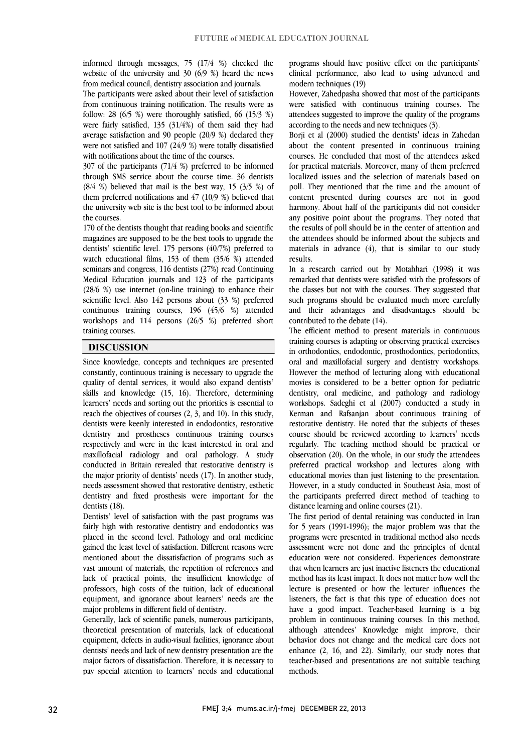ֺ֖֚֝֬

 informed through messages, 75 (17/4 %) checked the website of the university and  $30 \frac{6}{9}$  %) heard the news from medical council, dentistry association and journals.

 The participants were asked about their level of satisfaction from continuous training notification. The results were as<br> $f_{\text{ellum}}$ , 29. (6.5. %) were thereughly estisted. (6. (15.2. %) were fairly satisfied, 135 (31/4%) of them said they had average satisfaction and 90 people (20/9 %) declared they were not satisfied and 107 (24/9 %) were totally dissatisfied follow: 28  $(6/5)$ %) were thoroughly satisfied, 66  $(15/3)$ %) with notifications about the time of the courses.

 307 of the participants (71/4 %) preferred to be informed through SMS service about the course time. 36 dentists  $(8/4 \%)$  believed that mail is the best way, 15  $(3/5 \%)$  of them preferred notifications and 47 (10/9 %) believed that the university web site is the best tool to be informed about<br>the courses the courses.

 170 of the dentists thought that reading books and scientific magazines are supposed to be the best tools to upgrade the dentists' scientific level. 175 persons (40/7%) preferred to seminars and congress, 116 dentists (27%) read Continuing Medical Education journals and 123 of the participants (28/6 %) use internet (on-line training) to enhance their scientific level. Also  $142$  persons about  $(33\%)$  preferred workshops and  $114$  persons  $(26/5 \%)$  preferred short watch educational films, 153 of them (35/6 %) attended continuous training courses, 196 (45/6 %) attended training courses.

## **DISCUSSION**

 Since knowledge, concepts and techniques are presented constantly, continuous training is necessary to upgrade the quality of dental services, it would also expand dentists' skills and knowledge (15, 16). Therefore, determining reach the objectives of courses (2, 3, and 10). In this study, dentists were keenly interested in endodontics, restorative dentistry and prostheses continuous training courses respectively and were in the least interested in oral and maximolatial radiology and oral pathology. A study conducted in Britain revealed that restorative dentistry is the major priority of dentists' needs (17). In another study, needs assessment showed that restorative dentistry, esthetic dentistry and fixed prosthesis were important for the learners' needs and sorting out the priorities is essential to maxillofacial radiology and oral pathology. A study dentists (18).

 Dentists' level of satisfaction with the past programs was fairly high with restorative dentistry and endodontics was placed in the second level. Pathology and oral medicine gained the least level of satisfaction. Different reasons were vast amount of materials, the repetition of references and lack of practical points, the insufficient knowledge of professors, high costs of the tuition, lack of educational equipment, and ignorance about learners' needs are the mentioned about the dissatisfaction of programs such as major problems in different field of dentistry.

Generally, lack of scientific panels, numerous participants, theoretical presentation of materials, lack of educational equipment, defects in audio-visual facilities, ignorance about major factors of dissatisfaction. Therefore, it is necessary to pay special attention to learners' needs and educational dentists' needs and lack of new dentistry presentation are the

 programs should have positive effect on the participants' clinical performance, also lead to using advanced and modern techniques (19)

 However, Zahedpasha showed that most of the participants were saushed with continuous training courses. The attendees suggested to improve the quality of the programs were satisfied with continuous training courses. The according to the needs and new techniques (3).

 Borji et al (2000) studied the dentists' ideas in Zahedan about the content presented in continuous training for practical materials. Moreover, many of them preferred localized issues and the selection of materials based on poll. They mentioned that the time and the amount of content presented during courses are not in good any positive point about the participants did not consider any positive point about the programs. They noted that the results of poll should be in the center of attention and the attendees should be informed about the subjects and materials in advance  $(4)$ , that is similar to our study courses. He concluded that most of the attendees asked harmony. About half of the participants did not consider results.

 In a research carried out by Motahhari (1998) it was remarked that dentists were satisfied with the professors of the classes but not with the courses. They suggested that such programs should be evaluated much more carefully and their advantages and disadvantages should be contributed to the debate  $(14)$ contributed to the debate (14).

 The efficient method to present materials in continuous training courses is adapting or observing practical exercises oral and maxillofacial surgery and dentistry workshops. However the method of lecturing along with educational movies is considered to be a better option for pediatric dentistry, oral medicine, and pathology and radiology Kerman and Rafsanjan about continuous training of restorative dentistry. He noted that the subjects of theses course should be reviewed according to learners' needs regularly. The teaching method should be practical or preferred practical workshop and lectures along with educational movies than just listening to the presentation. However, in a study conducted in Southeast Asia, most of the participants preferred direct method of teaching to in orthodontics, endodontic, prosthodontics, periodontics, workshops. Sadeghi et al (2007) conducted a study in observation (20). On the whole, in our study the attendees distance learning and online courses (21).

The first period of dental retaining was conducted in Iran for 5 years (1991-1996); the major problem was that the programs were presented in traditional method also needs assessment were not done and the principles of dental that when learners are just inactive listeners the educational method has its least impact. It does not matter how well the lecture is presented or how the lecturer influences the listeners, the fact is that this type of education does not problem in continuous training courses. In this method, although attendees' Knowledge might improve, their behavior does not change and the medical care does not  $t$ emance  $(z, 10, 24)$ . Sumarry, our study notes that teacher-based and presentations are not suitable teaching  $\ddot{\phantom{0}}$ education were not considered. Experiences demonstrate have a good impact. Teacher-based learning is a big enhance (2, 16, and 22). Similarly, our study notes that methods.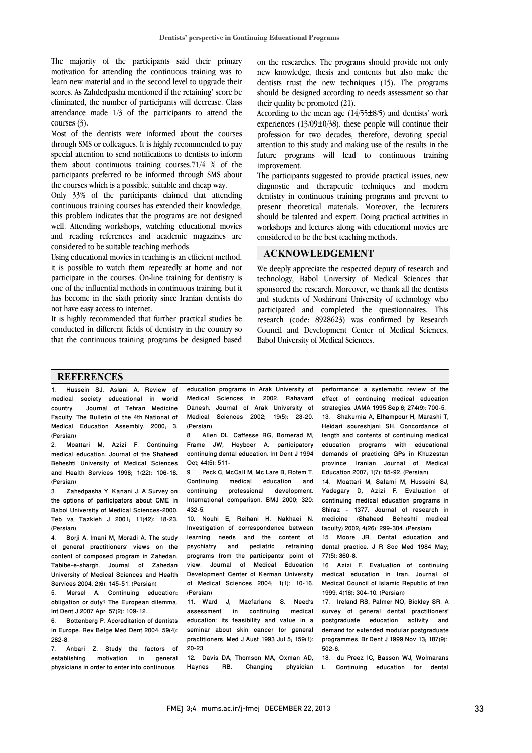The majority of the participants said their primary motivation for attending the continuous training was to learn new material and in the second level to upgrade their scores. As Zahdedpasha mentioned if the retaining' score be eliminated, the number of participants will decrease. Class attendance made 1/3 of the participants to attend the courses (3).

Most of the dentists were informed about the courses through SMS or colleagues. It is highly recommended to pay special attention to send notifications to dentists to inform them about continuous training courses.71/4 % of the participants preferred to be informed through SMS about the courses which is a possible, suitable and cheap way.

Only 33% of the participants claimed that attending continuous training courses has extended their knowledge, this problem indicates that the programs are not designed well. Attending workshops, watching educational movies and reading references and academic magazines are considered to be suitable teaching methods.

Using educational movies in teaching is an efficient method, it is possible to watch them repeatedly at home and not participate in the courses. On-line training for dentistry is one of the influential methods in continuous training, but it has become in the sixth priority since Iranian dentists do not have easy access to internet.

It is highly recommended that further practical studies be conducted in different fields of dentistry in the country so that the continuous training programs be designed based

on the researches. The programs should provide not only new knowledge, thesis and contents but also make the dentists trust the new techniques (15). The programs should be designed according to needs assessment so that their quality be promoted (21).

According to the mean age  $(14/55\pm8/5)$  and dentists' work experiences (13/09±0/38), these people will continue their profession for two decades, therefore, devoting special attention to this study and making use of the results in the future programs will lead to continuous training improvement.

The participants suggested to provide practical issues, new diagnostic and therapeutic techniques and modern dentistry in continuous training programs and prevent to present theoretical materials. Moreover, the lecturers should be talented and expert. Doing practical activities in workshops and lectures along with educational movies are considered to be the best teaching methods.

#### **ACKNOWLEDGEMENT**

We deeply appreciate the respected deputy of research and technology, Babol University of Medical Sciences that sponsored the research. Moreover, we thank all the dentists and students of Noshirvani University of technology who participated and completed the questionnaires. This research (code: 8928623) was confirmed by Research Council and Development Center of Medical Sciences, Babol University of Medical Sciences.

#### **REFERENCES**

1. Hussein SJ, Aslani A. Review of medical society educational in world country. Journal of Tehran Medicine Faculty. The Bulletin of the 4th National of Medical Education Assembly. 2000; 3. (Persian)

2. Moattari M, Azizi F. Continuing medical education. Journal of the Shaheed Beheshti University of Medical Sciences and Health Services 1998; 1(22): 106-18. (Persian)

3. Zahedpasha Y, Kanani J. A Survey on the options of participators about CME in Babol University of Medical Sciences-2000. Teb va Tazkieh J 2001; 11(42): 18-23. (Persian)

4. Borji A, Imani M, Moradi A. The study of general practitioners' views on the content of composed program in Zahedan. Tabibe-e-shargh, Journal of Zahedan University of Medical Sciences and Health Services 2004; 2(6): 145-51. (Persian)

5. Mersel A. Continuing education: obligation or duty? The European dilemma. Int Dent J 2007 Apr; 57(2): 109-12.

6. Bottenberg P. Accreditation of dentists in Europe. Rev Belge Med Dent 2004; 59(4): 282-8.

7. Anbari Z. Study the factors of establishing motivation in general physicians in order to enter into continuous

education programs in Arak University of Medical Sciences in 2002. Rahavard Danesh, Journal of Arak University of Medical Sciences 2002; 19(5): 23-20. (Persian)

8. Allen DL, Caffesse RG, Bornerad M, Frame JW, Heyboer A. participatory continuing dental education. Int Dent J 1994 Oct; 44(5): 511-

9. Peck C, McCall M, Mc Lare B, Rotem T. Continuing medical education and continuing professional development. International comparison. BMJ 2000; 320: 432-5.

10. Nouhi E, Reihani H, Nakhaei N. Investigation of correspondence between learning needs and the content of<br>psychiatry and pediatric retraining pediatric retraining programs from the participants' point of view. Journal of Medical Education Development Center of Kerman University of Medical Sciences 2004; 1(1): 10-16. (Persian)

11. Ward J, Macfarlane S. Need's assessment in continuing medical education: its feasibility and value in a seminar about skin cancer for general practitioners. Med J Aust 1993 Jul 5; 159(1): 20-23.

12. Davis DA, Thomson MA, Oxman AD, Haynes RB. Changing physician

performance: a systematic review of the effect of continuing medical education strategies. JAMA 1995 Sep 6; 274(9): 700-5. 13. Shakurnia A, Elhampour H, Marashi T, Heidari soureshjani SH. Concordance of length and contents of continuing medical education programs with educational demands of practicing GPs in Khuzestan province. Iranian Journal of Medical Education 2007; 1(7): 85-92. (Persian)

14. Moattari M, Salami M, Husseini SJ, Yadegary D, Azizi F. Evaluation of continuing medical education programs in Shiraz - 1377. Journal of research in medicine (Shaheed Beheshti medical faculty) 2002; 4(26): 299-304. (Persian)

15. Moore JR. Dental education and dental practice. J R Soc Med 1984 May; 77(5): 360-8.

16. Azizi F. Evaluation of continuing medical education in Iran. Journal of Medical Council of Islamic Republic of Iran 1999; 4(16): 304-10. (Persian)

17. Ireland RS, Palmer NO, Bickley SR. A survey of general dental practitioners' postgraduate education activity and demand for extended modular postgraduate programmes. Br Dent J 1999 Nov 13; 187(9): 502-6.

18. du Preez IC, Basson WJ, Wolmarans L. Continuing education for dental